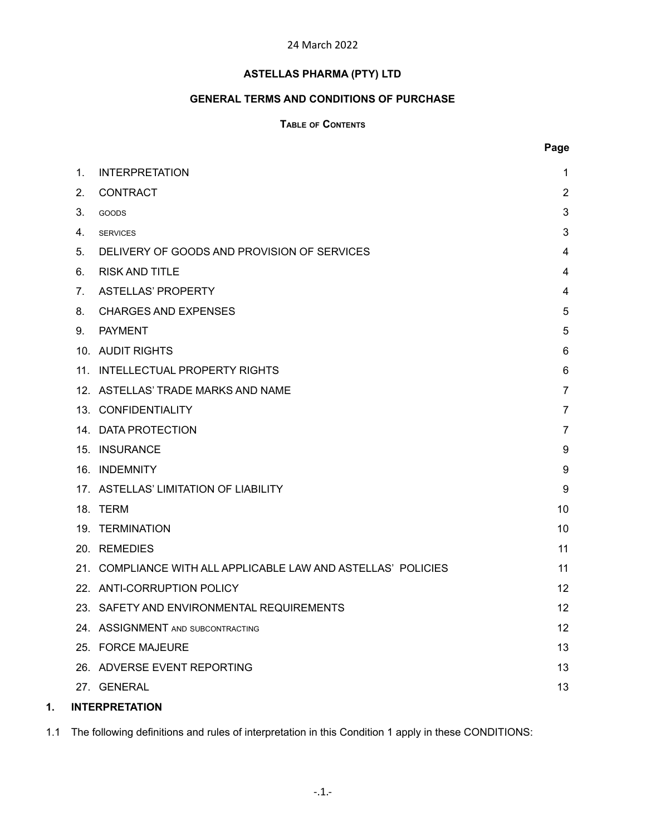# 24 March 2022

# **ASTELLAS PHARMA (PTY) LTD**

# **GENERAL TERMS AND CONDITIONS OF PURCHASE**

# **TABLE OF CONTENTS**

|    |                |                                                               | Page           |
|----|----------------|---------------------------------------------------------------|----------------|
|    | 1 <sub>1</sub> | <b>INTERPRETATION</b>                                         | 1              |
|    | 2.             | <b>CONTRACT</b>                                               | $\overline{2}$ |
|    | 3.             | GOODS                                                         | 3              |
|    | 4.             | <b>SERVICES</b>                                               | 3              |
|    | 5.             | DELIVERY OF GOODS AND PROVISION OF SERVICES                   | 4              |
|    | 6.             | <b>RISK AND TITLE</b>                                         | 4              |
|    | 7 <sub>1</sub> | <b>ASTELLAS' PROPERTY</b>                                     | 4              |
|    | 8.             | <b>CHARGES AND EXPENSES</b>                                   | 5              |
|    | 9.             | <b>PAYMENT</b>                                                | 5              |
|    |                | 10. AUDIT RIGHTS                                              | 6              |
|    |                | 11. INTELLECTUAL PROPERTY RIGHTS                              | 6              |
|    |                | 12. ASTELLAS' TRADE MARKS AND NAME                            | $\overline{7}$ |
|    |                | 13. CONFIDENTIALITY                                           | 7              |
|    |                | 14. DATA PROTECTION                                           | $\overline{7}$ |
|    |                | 15. INSURANCE                                                 | 9              |
|    |                | 16. INDEMNITY                                                 | 9              |
|    |                | 17. ASTELLAS' LIMITATION OF LIABILITY                         | 9              |
|    |                | 18. TERM                                                      | 10             |
|    |                | 19. TERMINATION                                               | 10             |
|    |                | 20. REMEDIES                                                  | 11             |
|    |                | 21. COMPLIANCE WITH ALL APPLICABLE LAW AND ASTELLAS' POLICIES | 11             |
|    |                | 22. ANTI-CORRUPTION POLICY                                    | 12             |
|    |                | 23. SAFETY AND ENVIRONMENTAL REQUIREMENTS                     | 12             |
|    |                | 24. ASSIGNMENT AND SUBCONTRACTING                             | 12             |
|    |                | 25. FORCE MAJEURE                                             | 13             |
|    |                | 26. ADVERSE EVENT REPORTING                                   | 13             |
|    |                | 27. GENERAL                                                   | 13             |
| 1. |                | <b>INTERPRETATION</b>                                         |                |

<span id="page-0-0"></span>1.1 The following definitions and rules of interpretation in this Condition 1 apply in these CONDITIONS: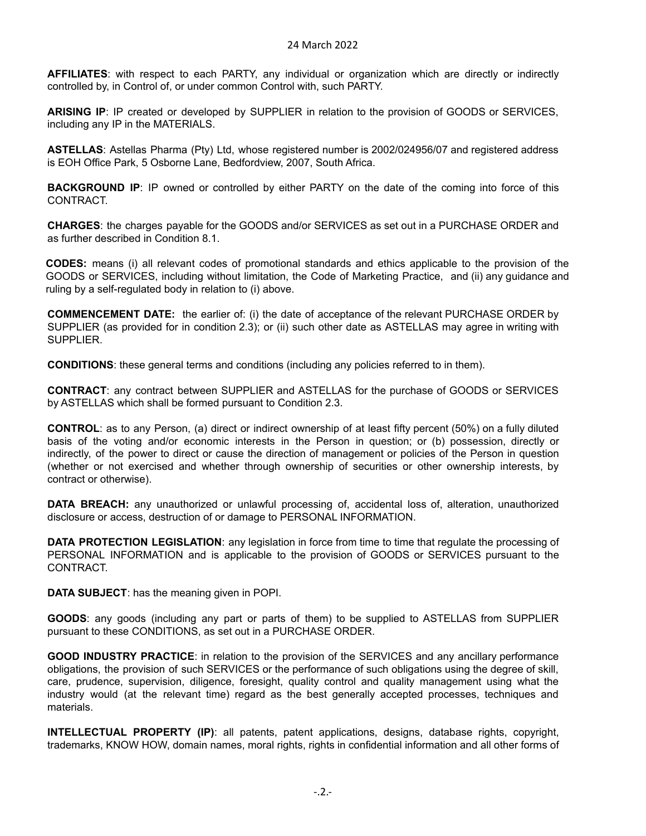**AFFILIATES**: with respect to each PARTY, any individual or organization which are directly or indirectly controlled by, in Control of, or under common Control with, such PARTY.

**ARISING IP**: IP created or developed by SUPPLIER in relation to the provision of GOODS or SERVICES, including any IP in the MATERIALS.

**ASTELLAS**: Astellas Pharma (Pty) Ltd, whose registered number is 2002/024956/07 and registered address is EOH Office Park, 5 Osborne Lane, Bedfordview, 2007, South Africa.

**BACKGROUND IP**: IP owned or controlled by either PARTY on the date of the coming into force of this CONTRACT.

**CHARGES**: the charges payable for the GOODS and/or SERVICES as set out in a PURCHASE ORDER and as further described in Condition 8.1.

**CODES:** means (i) all relevant codes of promotional standards and ethics applicable to the provision of the GOODS or SERVICES, including without limitation, the Code of Marketing Practice, and (ii) any guidance and ruling by a self-regulated body in relation to (i) above.

**COMMENCEMENT DATE:** the earlier of: (i) the date of acceptance of the relevant PURCHASE ORDER by SUPPLIER (as provided for in condition 2.3); or (ii) such other date as ASTELLAS may agree in writing with SUPPLIER.

**CONDITIONS**: these general terms and conditions (including any policies referred to in them).

**CONTRACT**: any contract between SUPPLIER and ASTELLAS for the purchase of GOODS or SERVICES by ASTELLAS which shall be formed pursuant to Condition 2.3.

**CONTROL**: as to any Person, (a) direct or indirect ownership of at least fifty percent (50%) on a fully diluted basis of the voting and/or economic interests in the Person in question; or (b) possession, directly or indirectly, of the power to direct or cause the direction of management or policies of the Person in question (whether or not exercised and whether through ownership of securities or other ownership interests, by contract or otherwise).

**DATA BREACH:** any unauthorized or unlawful processing of, accidental loss of, alteration, unauthorized disclosure or access, destruction of or damage to PERSONAL INFORMATION.

**DATA PROTECTION LEGISLATION**: any legislation in force from time to time that regulate the processing of PERSONAL INFORMATION and is applicable to the provision of GOODS or SERVICES pursuant to the CONTRACT.

**DATA SUBJECT**: has the meaning given in POPI.

**GOODS**: any goods (including any part or parts of them) to be supplied to ASTELLAS from SUPPLIER pursuant to these CONDITIONS, as set out in a PURCHASE ORDER.

**GOOD INDUSTRY PRACTICE**: in relation to the provision of the SERVICES and any ancillary performance obligations, the provision of such SERVICES or the performance of such obligations using the degree of skill, care, prudence, supervision, diligence, foresight, quality control and quality management using what the industry would (at the relevant time) regard as the best generally accepted processes, techniques and materials.

**INTELLECTUAL PROPERTY (IP)**: all patents, patent applications, designs, database rights, copyright, trademarks, KNOW HOW, domain names, moral rights, rights in confidential information and all other forms of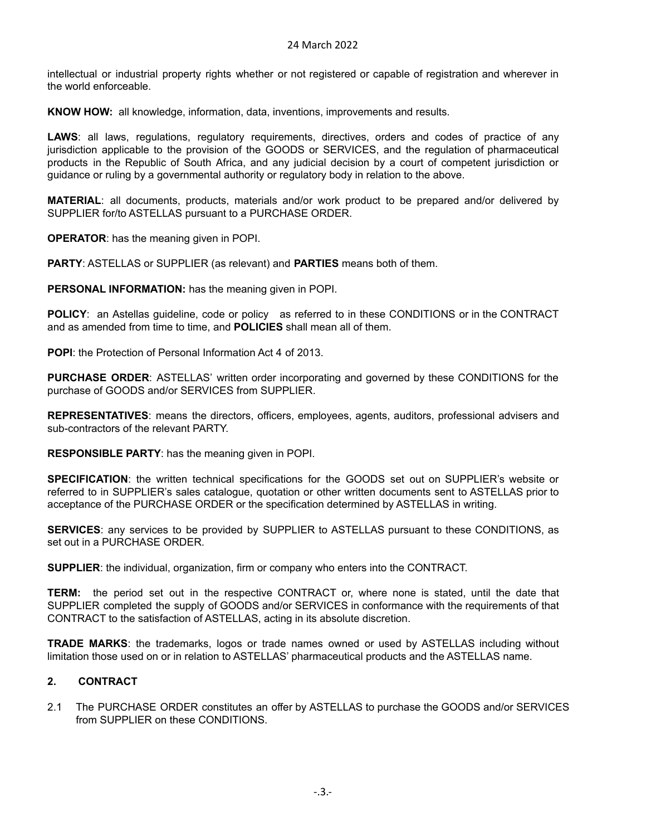intellectual or industrial property rights whether or not registered or capable of registration and wherever in the world enforceable.

**KNOW HOW:** all knowledge, information, data, inventions, improvements and results.

**LAWS**: all laws, regulations, regulatory requirements, directives, orders and codes of practice of any jurisdiction applicable to the provision of the GOODS or SERVICES, and the regulation of pharmaceutical products in the Republic of South Africa, and any judicial decision by a court of competent jurisdiction or guidance or ruling by a governmental authority or regulatory body in relation to the above.

**MATERIAL**: all documents, products, materials and/or work product to be prepared and/or delivered by SUPPLIER for/to ASTELLAS pursuant to a PURCHASE ORDER.

**OPERATOR**: has the meaning given in POPI.

**PARTY**: ASTELLAS or SUPPLIER (as relevant) and **PARTIES** means both of them.

**PERSONAL INFORMATION:** has the meaning given in POPI.

**POLICY**: an Astellas guideline, code or policy as referred to in these CONDITIONS or in the CONTRACT and as amended from time to time, and **POLICIES** shall mean all of them.

**POPI**: the Protection of Personal Information Act 4 of 2013.

**PURCHASE ORDER**: ASTELLAS' written order incorporating and governed by these CONDITIONS for the purchase of GOODS and/or SERVICES from SUPPLIER.

**REPRESENTATIVES**: means the directors, officers, employees, agents, auditors, professional advisers and sub-contractors of the relevant PARTY.

**RESPONSIBLE PARTY**: has the meaning given in POPI.

**SPECIFICATION**: the written technical specifications for the GOODS set out on SUPPLIER's website or referred to in SUPPLIER's sales catalogue, quotation or other written documents sent to ASTELLAS prior to acceptance of the PURCHASE ORDER or the specification determined by ASTELLAS in writing.

**SERVICES**: any services to be provided by SUPPLIER to ASTELLAS pursuant to these CONDITIONS, as set out in a PURCHASE ORDER.

**SUPPLIER**: the individual, organization, firm or company who enters into the CONTRACT.

**TERM:** the period set out in the respective CONTRACT or, where none is stated, until the date that SUPPLIER completed the supply of GOODS and/or SERVICES in conformance with the requirements of that CONTRACT to the satisfaction of ASTELLAS, acting in its absolute discretion.

**TRADE MARKS**: the trademarks, logos or trade names owned or used by ASTELLAS including without limitation those used on or in relation to ASTELLAS' pharmaceutical products and the ASTELLAS name.

# <span id="page-2-0"></span>**2. CONTRACT**

2.1 The PURCHASE ORDER constitutes an offer by ASTELLAS to purchase the GOODS and/or SERVICES from SUPPLIER on these CONDITIONS.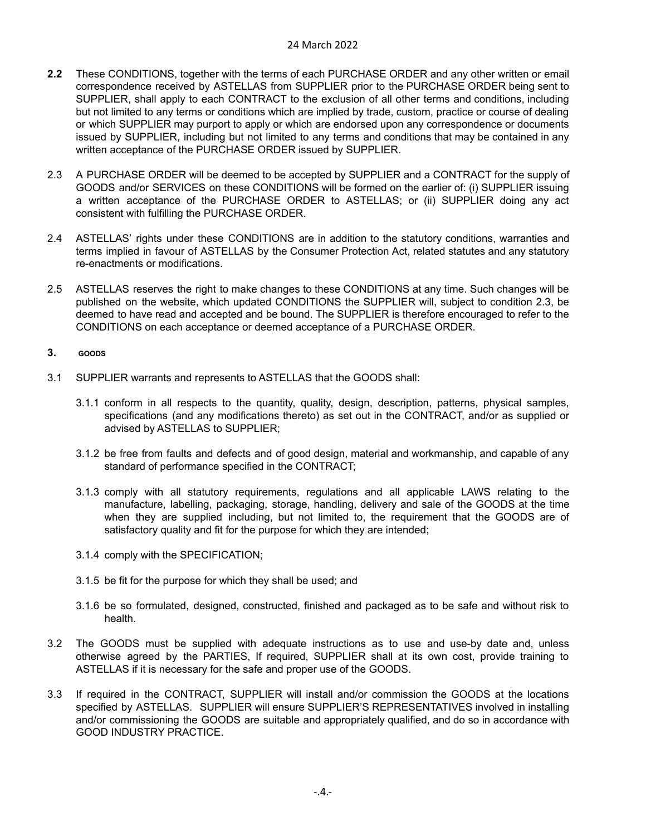- **2.2** These CONDITIONS, together with the terms of each PURCHASE ORDER and any other written or email correspondence received by ASTELLAS from SUPPLIER prior to the PURCHASE ORDER being sent to SUPPLIER, shall apply to each CONTRACT to the exclusion of all other terms and conditions, including but not limited to any terms or conditions which are implied by trade, custom, practice or course of dealing or which SUPPLIER may purport to apply or which are endorsed upon any correspondence or documents issued by SUPPLIER, including but not limited to any terms and conditions that may be contained in any written acceptance of the PURCHASE ORDER issued by SUPPLIER.
- 2.3 A PURCHASE ORDER will be deemed to be accepted by SUPPLIER and a CONTRACT for the supply of GOODS and/or SERVICES on these CONDITIONS will be formed on the earlier of: (i) SUPPLIER issuing a written acceptance of the PURCHASE ORDER to ASTELLAS; or (ii) SUPPLIER doing any act consistent with fulfilling the PURCHASE ORDER.
- 2.4 ASTELLAS' rights under these CONDITIONS are in addition to the statutory conditions, warranties and terms implied in favour of ASTELLAS by the Consumer Protection Act, related statutes and any statutory re-enactments or modifications.
- 2.5 ASTELLAS reserves the right to make changes to these CONDITIONS at any time. Such changes will be published on the website, which updated CONDITIONS the SUPPLIER will, subject to condition 2.3, be deemed to have read and accepted and be bound. The SUPPLIER is therefore encouraged to refer to the CONDITIONS on each acceptance or deemed acceptance of a PURCHASE ORDER.

#### <span id="page-3-0"></span>**3. GOODS**

- 3.1 SUPPLIER warrants and represents to ASTELLAS that the GOODS shall:
	- 3.1.1 conform in all respects to the quantity, quality, design, description, patterns, physical samples, specifications (and any modifications thereto) as set out in the CONTRACT, and/or as supplied or advised by ASTELLAS to SUPPLIER;
	- 3.1.2 be free from faults and defects and of good design, material and workmanship, and capable of any standard of performance specified in the CONTRACT;
	- 3.1.3 comply with all statutory requirements, regulations and all applicable LAWS relating to the manufacture, labelling, packaging, storage, handling, delivery and sale of the GOODS at the time when they are supplied including, but not limited to, the requirement that the GOODS are of satisfactory quality and fit for the purpose for which they are intended;
	- 3.1.4 comply with the SPECIFICATION;
	- 3.1.5 be fit for the purpose for which they shall be used; and
	- 3.1.6 be so formulated, designed, constructed, finished and packaged as to be safe and without risk to health.
- 3.2 The GOODS must be supplied with adequate instructions as to use and use-by date and, unless otherwise agreed by the PARTIES, If required, SUPPLIER shall at its own cost, provide training to ASTELLAS if it is necessary for the safe and proper use of the GOODS.
- 3.3 If required in the CONTRACT, SUPPLIER will install and/or commission the GOODS at the locations specified by ASTELLAS. SUPPLIER will ensure SUPPLIER'S REPRESENTATIVES involved in installing and/or commissioning the GOODS are suitable and appropriately qualified, and do so in accordance with GOOD INDUSTRY PRACTICE.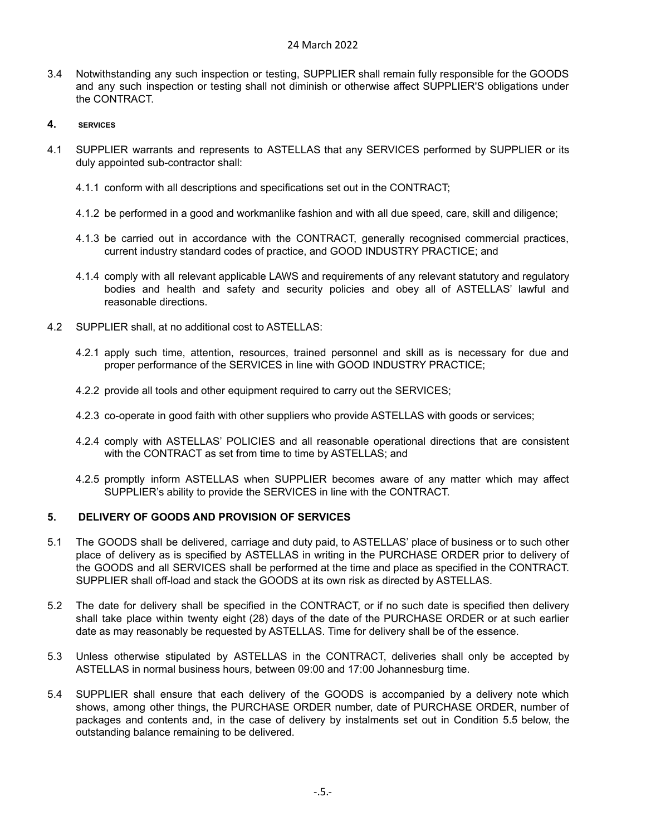- 3.4 Notwithstanding any such inspection or testing, SUPPLIER shall remain fully responsible for the GOODS and any such inspection or testing shall not diminish or otherwise affect SUPPLIER'S obligations under the CONTRACT.
- <span id="page-4-0"></span>**4. SERVICES**
- 4.1 SUPPLIER warrants and represents to ASTELLAS that any SERVICES performed by SUPPLIER or its duly appointed sub-contractor shall:
	- 4.1.1 conform with all descriptions and specifications set out in the CONTRACT;
	- 4.1.2 be performed in a good and workmanlike fashion and with all due speed, care, skill and diligence;
	- 4.1.3 be carried out in accordance with the CONTRACT, generally recognised commercial practices, current industry standard codes of practice, and GOOD INDUSTRY PRACTICE; and
	- 4.1.4 comply with all relevant applicable LAWS and requirements of any relevant statutory and regulatory bodies and health and safety and security policies and obey all of ASTELLAS' lawful and reasonable directions.
- 4.2 SUPPLIER shall, at no additional cost to ASTELLAS:
	- 4.2.1 apply such time, attention, resources, trained personnel and skill as is necessary for due and proper performance of the SERVICES in line with GOOD INDUSTRY PRACTICE;
	- 4.2.2 provide all tools and other equipment required to carry out the SERVICES;
	- 4.2.3 co-operate in good faith with other suppliers who provide ASTELLAS with goods or services;
	- 4.2.4 comply with ASTELLAS' POLICIES and all reasonable operational directions that are consistent with the CONTRACT as set from time to time by ASTELLAS; and
	- 4.2.5 promptly inform ASTELLAS when SUPPLIER becomes aware of any matter which may affect SUPPLIER's ability to provide the SERVICES in line with the CONTRACT.

# <span id="page-4-1"></span>**5. DELIVERY OF GOODS AND PROVISION OF SERVICES**

- 5.1 The GOODS shall be delivered, carriage and duty paid, to ASTELLAS' place of business or to such other place of delivery as is specified by ASTELLAS in writing in the PURCHASE ORDER prior to delivery of the GOODS and all SERVICES shall be performed at the time and place as specified in the CONTRACT. SUPPLIER shall off-load and stack the GOODS at its own risk as directed by ASTELLAS.
- 5.2 The date for delivery shall be specified in the CONTRACT, or if no such date is specified then delivery shall take place within twenty eight (28) days of the date of the PURCHASE ORDER or at such earlier date as may reasonably be requested by ASTELLAS. Time for delivery shall be of the essence.
- 5.3 Unless otherwise stipulated by ASTELLAS in the CONTRACT, deliveries shall only be accepted by ASTELLAS in normal business hours, between 09:00 and 17:00 Johannesburg time.
- 5.4 SUPPLIER shall ensure that each delivery of the GOODS is accompanied by a delivery note which shows, among other things, the PURCHASE ORDER number, date of PURCHASE ORDER, number of packages and contents and, in the case of delivery by instalments set out in Condition 5.5 below, the outstanding balance remaining to be delivered.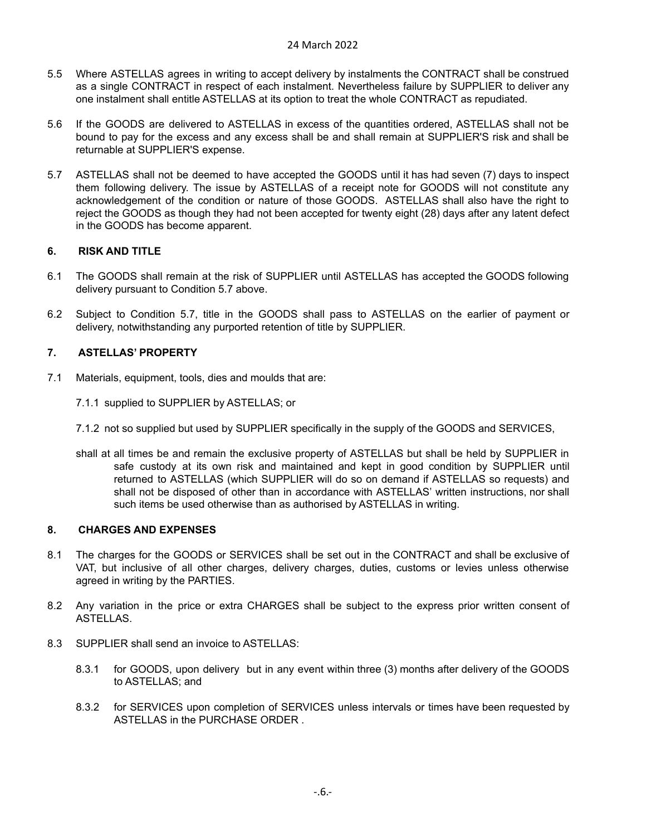#### 24 March 2022

- 5.5 Where ASTELLAS agrees in writing to accept delivery by instalments the CONTRACT shall be construed as a single CONTRACT in respect of each instalment. Nevertheless failure by SUPPLIER to deliver any one instalment shall entitle ASTELLAS at its option to treat the whole CONTRACT as repudiated.
- 5.6 If the GOODS are delivered to ASTELLAS in excess of the quantities ordered, ASTELLAS shall not be bound to pay for the excess and any excess shall be and shall remain at SUPPLIER'S risk and shall be returnable at SUPPLIER'S expense.
- 5.7 ASTELLAS shall not be deemed to have accepted the GOODS until it has had seven (7) days to inspect them following delivery. The issue by ASTELLAS of a receipt note for GOODS will not constitute any acknowledgement of the condition or nature of those GOODS. ASTELLAS shall also have the right to reject the GOODS as though they had not been accepted for twenty eight (28) days after any latent defect in the GOODS has become apparent.

# <span id="page-5-0"></span>**6. RISK AND TITLE**

- 6.1 The GOODS shall remain at the risk of SUPPLIER until ASTELLAS has accepted the GOODS following delivery pursuant to Condition 5.7 above.
- 6.2 Subject to Condition 5.7, title in the GOODS shall pass to ASTELLAS on the earlier of payment or delivery, notwithstanding any purported retention of title by SUPPLIER.

#### <span id="page-5-1"></span>**7. ASTELLAS' PROPERTY**

- 7.1 Materials, equipment, tools, dies and moulds that are:
	- 7.1.1 supplied to SUPPLIER by ASTELLAS; or
	- 7.1.2 not so supplied but used by SUPPLIER specifically in the supply of the GOODS and SERVICES,
	- shall at all times be and remain the exclusive property of ASTELLAS but shall be held by SUPPLIER in safe custody at its own risk and maintained and kept in good condition by SUPPLIER until returned to ASTELLAS (which SUPPLIER will do so on demand if ASTELLAS so requests) and shall not be disposed of other than in accordance with ASTELLAS' written instructions, nor shall such items be used otherwise than as authorised by ASTELLAS in writing.

#### <span id="page-5-2"></span>**8. CHARGES AND EXPENSES**

- 8.1 The charges for the GOODS or SERVICES shall be set out in the CONTRACT and shall be exclusive of VAT, but inclusive of all other charges, delivery charges, duties, customs or levies unless otherwise agreed in writing by the PARTIES.
- 8.2 Any variation in the price or extra CHARGES shall be subject to the express prior written consent of ASTELLAS.
- 8.3 SUPPLIER shall send an invoice to ASTELLAS:
	- 8.3.1 for GOODS, upon delivery but in any event within three (3) months after delivery of the GOODS to ASTELLAS; and
	- 8.3.2 for SERVICES upon completion of SERVICES unless intervals or times have been requested by ASTELLAS in the PURCHASE ORDER .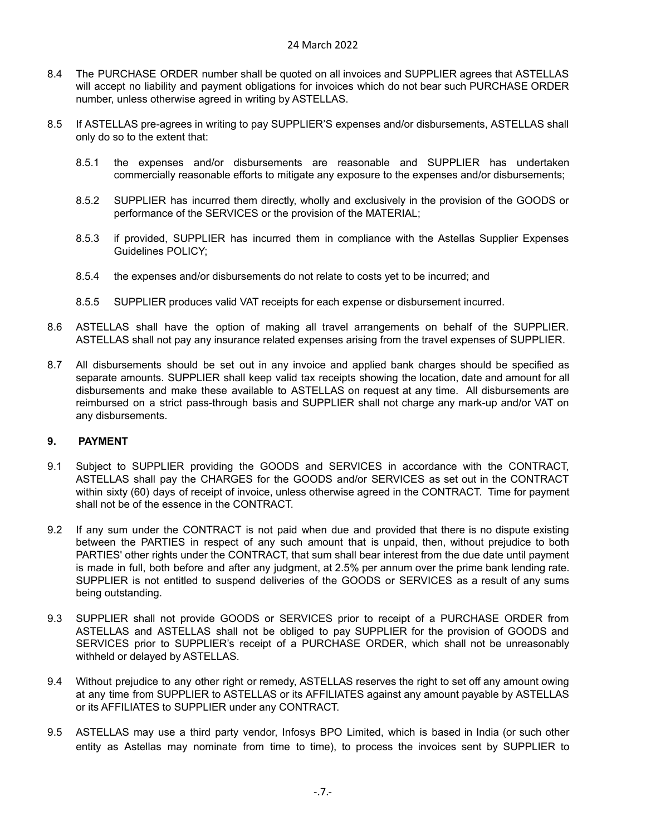- 8.4 The PURCHASE ORDER number shall be quoted on all invoices and SUPPLIER agrees that ASTELLAS will accept no liability and payment obligations for invoices which do not bear such PURCHASE ORDER number, unless otherwise agreed in writing by ASTELLAS.
- 8.5 If ASTELLAS pre-agrees in writing to pay SUPPLIER'S expenses and/or disbursements, ASTELLAS shall only do so to the extent that:
	- 8.5.1 the expenses and/or disbursements are reasonable and SUPPLIER has undertaken commercially reasonable efforts to mitigate any exposure to the expenses and/or disbursements;
	- 8.5.2 SUPPLIER has incurred them directly, wholly and exclusively in the provision of the GOODS or performance of the SERVICES or the provision of the MATERIAL;
	- 8.5.3 if provided, SUPPLIER has incurred them in compliance with the Astellas Supplier Expenses Guidelines POLICY;
	- 8.5.4 the expenses and/or disbursements do not relate to costs yet to be incurred; and
	- 8.5.5 SUPPLIER produces valid VAT receipts for each expense or disbursement incurred.
- 8.6 ASTELLAS shall have the option of making all travel arrangements on behalf of the SUPPLIER. ASTELLAS shall not pay any insurance related expenses arising from the travel expenses of SUPPLIER.
- 8.7 All disbursements should be set out in any invoice and applied bank charges should be specified as separate amounts. SUPPLIER shall keep valid tax receipts showing the location, date and amount for all disbursements and make these available to ASTELLAS on request at any time. All disbursements are reimbursed on a strict pass-through basis and SUPPLIER shall not charge any mark-up and/or VAT on any disbursements.

# <span id="page-6-0"></span>**9. PAYMENT**

- 9.1 Subject to SUPPLIER providing the GOODS and SERVICES in accordance with the CONTRACT, ASTELLAS shall pay the CHARGES for the GOODS and/or SERVICES as set out in the CONTRACT within sixty (60) days of receipt of invoice, unless otherwise agreed in the CONTRACT. Time for payment shall not be of the essence in the CONTRACT.
- 9.2 If any sum under the CONTRACT is not paid when due and provided that there is no dispute existing between the PARTIES in respect of any such amount that is unpaid, then, without prejudice to both PARTIES' other rights under the CONTRACT, that sum shall bear interest from the due date until payment is made in full, both before and after any judgment, at 2.5% per annum over the prime bank lending rate. SUPPLIER is not entitled to suspend deliveries of the GOODS or SERVICES as a result of any sums being outstanding.
- 9.3 SUPPLIER shall not provide GOODS or SERVICES prior to receipt of a PURCHASE ORDER from ASTELLAS and ASTELLAS shall not be obliged to pay SUPPLIER for the provision of GOODS and SERVICES prior to SUPPLIER's receipt of a PURCHASE ORDER, which shall not be unreasonably withheld or delayed by ASTELLAS.
- 9.4 Without prejudice to any other right or remedy, ASTELLAS reserves the right to set off any amount owing at any time from SUPPLIER to ASTELLAS or its AFFILIATES against any amount payable by ASTELLAS or its AFFILIATES to SUPPLIER under any CONTRACT.
- 9.5 ASTELLAS may use a third party vendor, Infosys BPO Limited, which is based in India (or such other entity as Astellas may nominate from time to time), to process the invoices sent by SUPPLIER to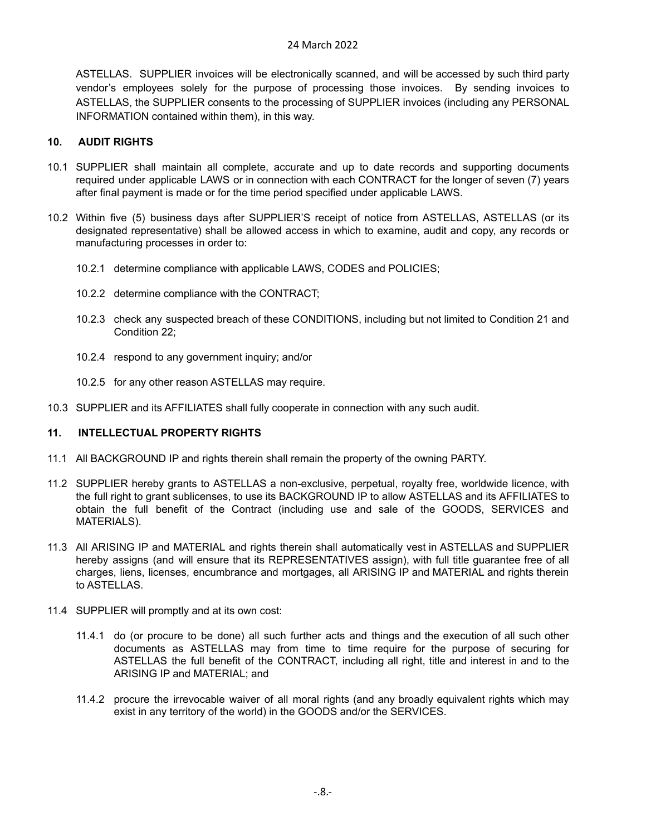ASTELLAS. SUPPLIER invoices will be electronically scanned, and will be accessed by such third party vendor's employees solely for the purpose of processing those invoices. By sending invoices to ASTELLAS, the SUPPLIER consents to the processing of SUPPLIER invoices (including any PERSONAL INFORMATION contained within them), in this way.

# <span id="page-7-0"></span>**10. AUDIT RIGHTS**

- 10.1 SUPPLIER shall maintain all complete, accurate and up to date records and supporting documents required under applicable LAWS or in connection with each CONTRACT for the longer of seven (7) years after final payment is made or for the time period specified under applicable LAWS.
- 10.2 Within five (5) business days after SUPPLIER'S receipt of notice from ASTELLAS, ASTELLAS (or its designated representative) shall be allowed access in which to examine, audit and copy, any records or manufacturing processes in order to:
	- 10.2.1 determine compliance with applicable LAWS, CODES and POLICIES;
	- 10.2.2 determine compliance with the CONTRACT;
	- 10.2.3 check any suspected breach of these CONDITIONS, including but not limited to Condition 21 and Condition 22;
	- 10.2.4 respond to any government inquiry; and/or
	- 10.2.5 for any other reason ASTELLAS may require.
- 10.3 SUPPLIER and its AFFILIATES shall fully cooperate in connection with any such audit.

# <span id="page-7-1"></span>**11. INTELLECTUAL PROPERTY RIGHTS**

- 11.1 All BACKGROUND IP and rights therein shall remain the property of the owning PARTY.
- 11.2 SUPPLIER hereby grants to ASTELLAS a non-exclusive, perpetual, royalty free, worldwide licence, with the full right to grant sublicenses, to use its BACKGROUND IP to allow ASTELLAS and its AFFILIATES to obtain the full benefit of the Contract (including use and sale of the GOODS, SERVICES and MATERIALS).
- 11.3 All ARISING IP and MATERIAL and rights therein shall automatically vest in ASTELLAS and SUPPLIER hereby assigns (and will ensure that its REPRESENTATIVES assign), with full title guarantee free of all charges, liens, licenses, encumbrance and mortgages, all ARISING IP and MATERIAL and rights therein to ASTELLAS.
- 11.4 SUPPLIER will promptly and at its own cost:
	- 11.4.1 do (or procure to be done) all such further acts and things and the execution of all such other documents as ASTELLAS may from time to time require for the purpose of securing for ASTELLAS the full benefit of the CONTRACT, including all right, title and interest in and to the ARISING IP and MATERIAL; and
	- 11.4.2 procure the irrevocable waiver of all moral rights (and any broadly equivalent rights which may exist in any territory of the world) in the GOODS and/or the SERVICES.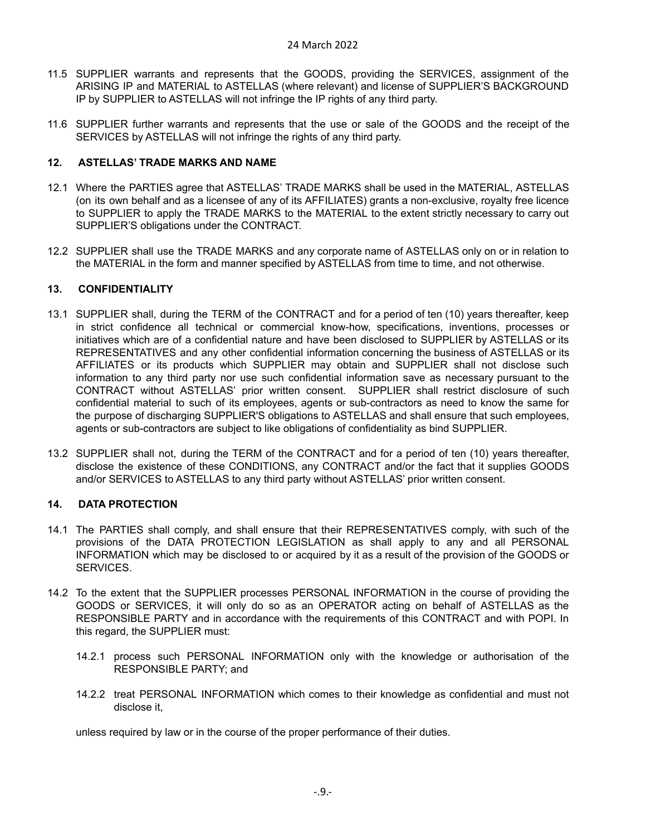- 11.5 SUPPLIER warrants and represents that the GOODS, providing the SERVICES, assignment of the ARISING IP and MATERIAL to ASTELLAS (where relevant) and license of SUPPLIER'S BACKGROUND IP by SUPPLIER to ASTELLAS will not infringe the IP rights of any third party.
- 11.6 SUPPLIER further warrants and represents that the use or sale of the GOODS and the receipt of the SERVICES by ASTELLAS will not infringe the rights of any third party.

# <span id="page-8-0"></span>**12. ASTELLAS' TRADE MARKS AND NAME**

- 12.1 Where the PARTIES agree that ASTELLAS' TRADE MARKS shall be used in the MATERIAL, ASTELLAS (on its own behalf and as a licensee of any of its AFFILIATES) grants a non-exclusive, royalty free licence to SUPPLIER to apply the TRADE MARKS to the MATERIAL to the extent strictly necessary to carry out SUPPLIER'S obligations under the CONTRACT.
- 12.2 SUPPLIER shall use the TRADE MARKS and any corporate name of ASTELLAS only on or in relation to the MATERIAL in the form and manner specified by ASTELLAS from time to time, and not otherwise.

# <span id="page-8-1"></span>**13. CONFIDENTIALITY**

- 13.1 SUPPLIER shall, during the TERM of the CONTRACT and for a period of ten (10) years thereafter, keep in strict confidence all technical or commercial know-how, specifications, inventions, processes or initiatives which are of a confidential nature and have been disclosed to SUPPLIER by ASTELLAS or its REPRESENTATIVES and any other confidential information concerning the business of ASTELLAS or its AFFILIATES or its products which SUPPLIER may obtain and SUPPLIER shall not disclose such information to any third party nor use such confidential information save as necessary pursuant to the CONTRACT without ASTELLAS' prior written consent. SUPPLIER shall restrict disclosure of such confidential material to such of its employees, agents or sub-contractors as need to know the same for the purpose of discharging SUPPLIER'S obligations to ASTELLAS and shall ensure that such employees, agents or sub-contractors are subject to like obligations of confidentiality as bind SUPPLIER.
- 13.2 SUPPLIER shall not, during the TERM of the CONTRACT and for a period of ten (10) years thereafter, disclose the existence of these CONDITIONS, any CONTRACT and/or the fact that it supplies GOODS and/or SERVICES to ASTELLAS to any third party without ASTELLAS' prior written consent.

# <span id="page-8-2"></span>**14. DATA PROTECTION**

- 14.1 The PARTIES shall comply, and shall ensure that their REPRESENTATIVES comply, with such of the provisions of the DATA PROTECTION LEGISLATION as shall apply to any and all PERSONAL INFORMATION which may be disclosed to or acquired by it as a result of the provision of the GOODS or SERVICES.
- 14.2 To the extent that the SUPPLIER processes PERSONAL INFORMATION in the course of providing the GOODS or SERVICES, it will only do so as an OPERATOR acting on behalf of ASTELLAS as the RESPONSIBLE PARTY and in accordance with the requirements of this CONTRACT and with POPI. In this regard, the SUPPLIER must:
	- 14.2.1 process such PERSONAL INFORMATION only with the knowledge or authorisation of the RESPONSIBLE PARTY; and
	- 14.2.2 treat PERSONAL INFORMATION which comes to their knowledge as confidential and must not disclose it,

unless required by law or in the course of the proper performance of their duties.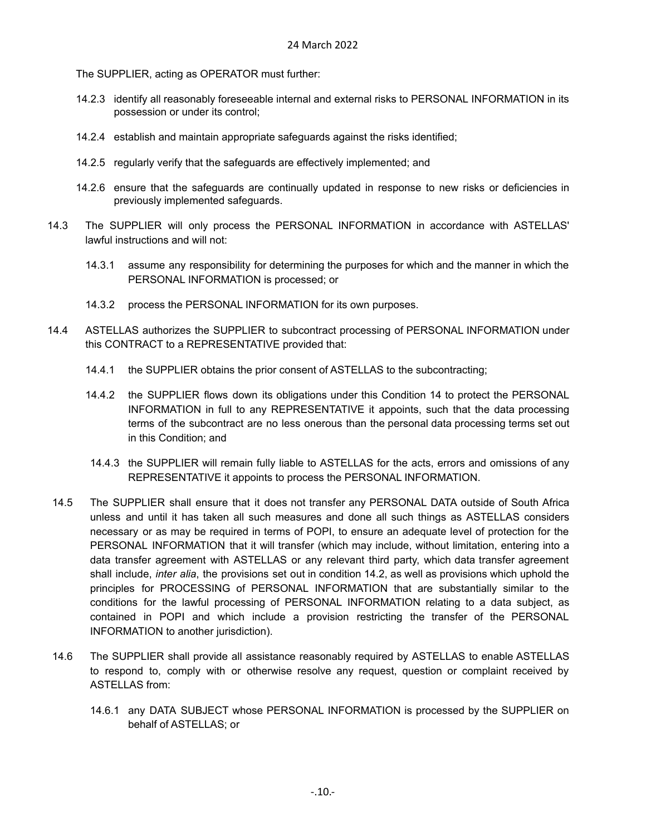The SUPPLIER, acting as OPERATOR must further:

- 14.2.3 identify all reasonably foreseeable internal and external risks to PERSONAL INFORMATION in its possession or under its control;
- 14.2.4 establish and maintain appropriate safeguards against the risks identified;
- 14.2.5 regularly verify that the safeguards are effectively implemented; and
- 14.2.6 ensure that the safeguards are continually updated in response to new risks or deficiencies in previously implemented safeguards.
- 14.3 The SUPPLIER will only process the PERSONAL INFORMATION in accordance with ASTELLAS' lawful instructions and will not:
	- 14.3.1 assume any responsibility for determining the purposes for which and the manner in which the PERSONAL INFORMATION is processed; or
	- 14.3.2 process the PERSONAL INFORMATION for its own purposes.
- 14.4 ASTELLAS authorizes the SUPPLIER to subcontract processing of PERSONAL INFORMATION under this CONTRACT to a REPRESENTATIVE provided that:
	- 14.4.1 the SUPPLIER obtains the prior consent of ASTELLAS to the subcontracting;
	- 14.4.2 the SUPPLIER flows down its obligations under this Condition 14 to protect the PERSONAL INFORMATION in full to any REPRESENTATIVE it appoints, such that the data processing terms of the subcontract are no less onerous than the personal data processing terms set out in this Condition; and
	- 14.4.3 the SUPPLIER will remain fully liable to ASTELLAS for the acts, errors and omissions of any REPRESENTATIVE it appoints to process the PERSONAL INFORMATION.
- 14.5 The SUPPLIER shall ensure that it does not transfer any PERSONAL DATA outside of South Africa unless and until it has taken all such measures and done all such things as ASTELLAS considers necessary or as may be required in terms of POPI, to ensure an adequate level of protection for the PERSONAL INFORMATION that it will transfer (which may include, without limitation, entering into a data transfer agreement with ASTELLAS or any relevant third party, which data transfer agreement shall include, *inter alia*, the provisions set out in condition 14.2, as well as provisions which uphold the principles for PROCESSING of PERSONAL INFORMATION that are substantially similar to the conditions for the lawful processing of PERSONAL INFORMATION relating to a data subject, as contained in POPI and which include a provision restricting the transfer of the PERSONAL INFORMATION to another jurisdiction).
- 14.6 The SUPPLIER shall provide all assistance reasonably required by ASTELLAS to enable ASTELLAS to respond to, comply with or otherwise resolve any request, question or complaint received by ASTELLAS from:
	- 14.6.1 any DATA SUBJECT whose PERSONAL INFORMATION is processed by the SUPPLIER on behalf of ASTELLAS; or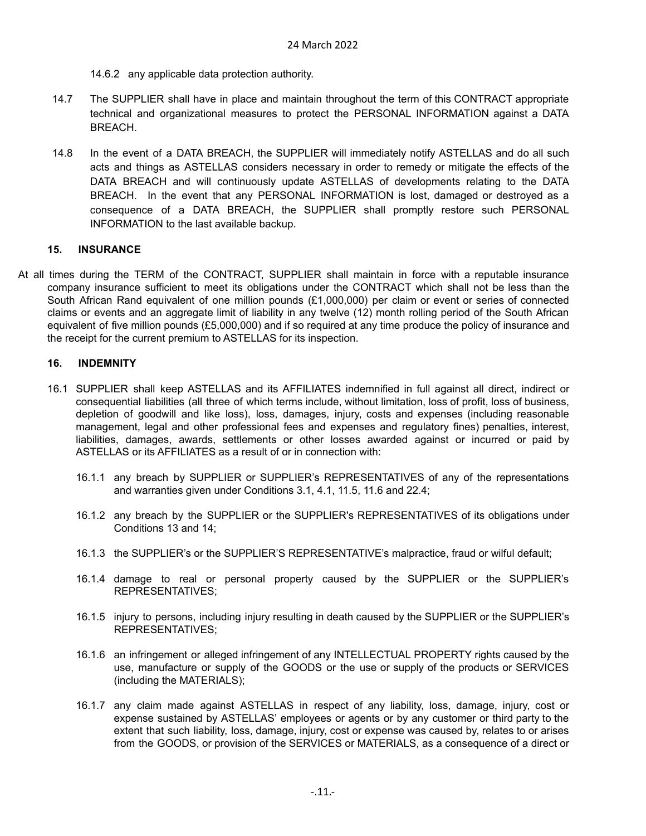- 14.6.2 any applicable data protection authority.
- 14.7 The SUPPLIER shall have in place and maintain throughout the term of this CONTRACT appropriate technical and organizational measures to protect the PERSONAL INFORMATION against a DATA BREACH.
- 14.8 In the event of a DATA BREACH, the SUPPLIER will immediately notify ASTELLAS and do all such acts and things as ASTELLAS considers necessary in order to remedy or mitigate the effects of the DATA BREACH and will continuously update ASTELLAS of developments relating to the DATA BREACH. In the event that any PERSONAL INFORMATION is lost, damaged or destroyed as a consequence of a DATA BREACH, the SUPPLIER shall promptly restore such PERSONAL INFORMATION to the last available backup.

# <span id="page-10-0"></span>**15. INSURANCE**

At all times during the TERM of the CONTRACT, SUPPLIER shall maintain in force with a reputable insurance company insurance sufficient to meet its obligations under the CONTRACT which shall not be less than the South African Rand equivalent of one million pounds (£1,000,000) per claim or event or series of connected claims or events and an aggregate limit of liability in any twelve (12) month rolling period of the South African equivalent of five million pounds (£5,000,000) and if so required at any time produce the policy of insurance and the receipt for the current premium to ASTELLAS for its inspection.

# <span id="page-10-1"></span>**16. INDEMNITY**

- 16.1 SUPPLIER shall keep ASTELLAS and its AFFILIATES indemnified in full against all direct, indirect or consequential liabilities (all three of which terms include, without limitation, loss of profit, loss of business, depletion of goodwill and like loss), loss, damages, injury, costs and expenses (including reasonable management, legal and other professional fees and expenses and regulatory fines) penalties, interest, liabilities, damages, awards, settlements or other losses awarded against or incurred or paid by ASTELLAS or its AFFILIATES as a result of or in connection with:
	- 16.1.1 any breach by SUPPLIER or SUPPLIER's REPRESENTATIVES of any of the representations and warranties given under Conditions 3.1, 4.1, 11.5, 11.6 and 22.4;
	- 16.1.2 any breach by the SUPPLIER or the SUPPLIER's REPRESENTATIVES of its obligations under Conditions 13 and 14;
	- 16.1.3 the SUPPLIER's or the SUPPLIER'S REPRESENTATIVE's malpractice, fraud or wilful default;
	- 16.1.4 damage to real or personal property caused by the SUPPLIER or the SUPPLIER's REPRESENTATIVES;
	- 16.1.5 injury to persons, including injury resulting in death caused by the SUPPLIER or the SUPPLIER's REPRESENTATIVES;
	- 16.1.6 an infringement or alleged infringement of any INTELLECTUAL PROPERTY rights caused by the use, manufacture or supply of the GOODS or the use or supply of the products or SERVICES (including the MATERIALS);
	- 16.1.7 any claim made against ASTELLAS in respect of any liability, loss, damage, injury, cost or expense sustained by ASTELLAS' employees or agents or by any customer or third party to the extent that such liability, loss, damage, injury, cost or expense was caused by, relates to or arises from the GOODS, or provision of the SERVICES or MATERIALS, as a consequence of a direct or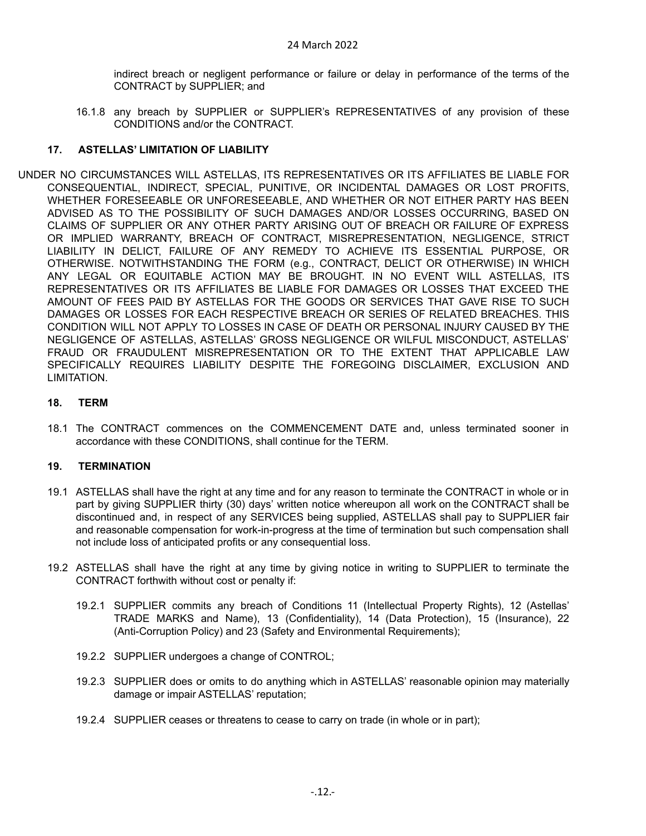indirect breach or negligent performance or failure or delay in performance of the terms of the CONTRACT by SUPPLIER; and

16.1.8 any breach by SUPPLIER or SUPPLIER's REPRESENTATIVES of any provision of these CONDITIONS and/or the CONTRACT.

### <span id="page-11-0"></span>**17. ASTELLAS' LIMITATION OF LIABILITY**

UNDER NO CIRCUMSTANCES WILL ASTELLAS, ITS REPRESENTATIVES OR ITS AFFILIATES BE LIABLE FOR CONSEQUENTIAL, INDIRECT, SPECIAL, PUNITIVE, OR INCIDENTAL DAMAGES OR LOST PROFITS, WHETHER FORESEEABLE OR UNFORESEEABLE, AND WHETHER OR NOT EITHER PARTY HAS BEEN ADVISED AS TO THE POSSIBILITY OF SUCH DAMAGES AND/OR LOSSES OCCURRING, BASED ON CLAIMS OF SUPPLIER OR ANY OTHER PARTY ARISING OUT OF BREACH OR FAILURE OF EXPRESS OR IMPLIED WARRANTY, BREACH OF CONTRACT, MISREPRESENTATION, NEGLIGENCE, STRICT LIABILITY IN DELICT, FAILURE OF ANY REMEDY TO ACHIEVE ITS ESSENTIAL PURPOSE, OR OTHERWISE. NOTWITHSTANDING THE FORM (e.g., CONTRACT, DELICT OR OTHERWISE) IN WHICH ANY LEGAL OR EQUITABLE ACTION MAY BE BROUGHT. IN NO EVENT WILL ASTELLAS, ITS REPRESENTATIVES OR ITS AFFILIATES BE LIABLE FOR DAMAGES OR LOSSES THAT EXCEED THE AMOUNT OF FEES PAID BY ASTELLAS FOR THE GOODS OR SERVICES THAT GAVE RISE TO SUCH DAMAGES OR LOSSES FOR EACH RESPECTIVE BREACH OR SERIES OF RELATED BREACHES. THIS CONDITION WILL NOT APPLY TO LOSSES IN CASE OF DEATH OR PERSONAL INJURY CAUSED BY THE NEGLIGENCE OF ASTELLAS, ASTELLAS' GROSS NEGLIGENCE OR WILFUL MISCONDUCT, ASTELLAS' FRAUD OR FRAUDULENT MISREPRESENTATION OR TO THE EXTENT THAT APPLICABLE LAW SPECIFICALLY REQUIRES LIABILITY DESPITE THE FOREGOING DISCLAIMER, EXCLUSION AND LIMITATION.

#### <span id="page-11-1"></span>**18. TERM**

18.1 The CONTRACT commences on the COMMENCEMENT DATE and, unless terminated sooner in accordance with these CONDITIONS, shall continue for the TERM.

#### <span id="page-11-2"></span>**19. TERMINATION**

- 19.1 ASTELLAS shall have the right at any time and for any reason to terminate the CONTRACT in whole or in part by giving SUPPLIER thirty (30) days' written notice whereupon all work on the CONTRACT shall be discontinued and, in respect of any SERVICES being supplied, ASTELLAS shall pay to SUPPLIER fair and reasonable compensation for work-in-progress at the time of termination but such compensation shall not include loss of anticipated profits or any consequential loss.
- 19.2 ASTELLAS shall have the right at any time by giving notice in writing to SUPPLIER to terminate the CONTRACT forthwith without cost or penalty if:
	- 19.2.1 SUPPLIER commits any breach of Conditions 11 (Intellectual Property Rights), 12 (Astellas' TRADE MARKS and Name), 13 (Confidentiality), 14 (Data Protection), 15 (Insurance), 22 (Anti-Corruption Policy) and 23 (Safety and Environmental Requirements);
	- 19.2.2 SUPPLIER undergoes a change of CONTROL;
	- 19.2.3 SUPPLIER does or omits to do anything which in ASTELLAS' reasonable opinion may materially damage or impair ASTELLAS' reputation;
	- 19.2.4 SUPPLIER ceases or threatens to cease to carry on trade (in whole or in part);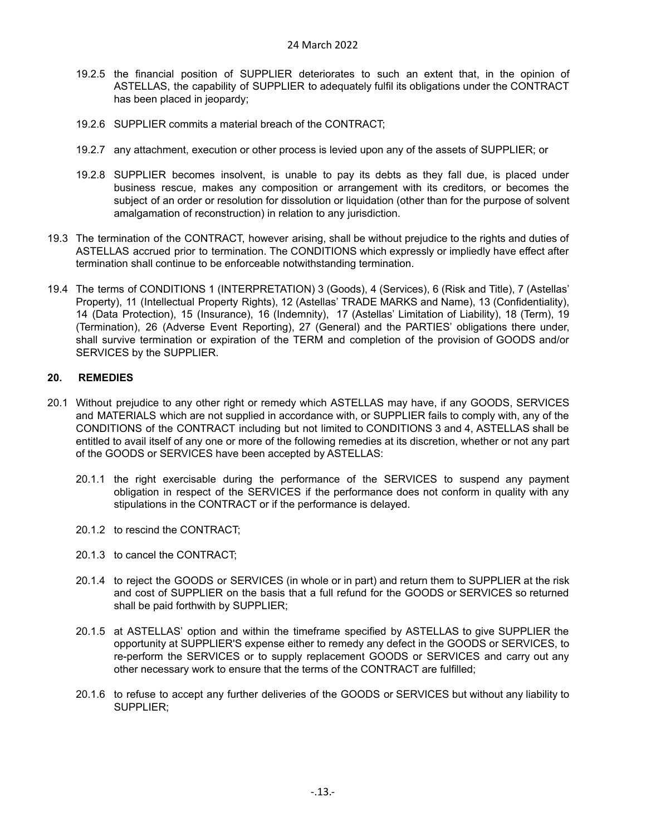- 19.2.5 the financial position of SUPPLIER deteriorates to such an extent that, in the opinion of ASTELLAS, the capability of SUPPLIER to adequately fulfil its obligations under the CONTRACT has been placed in jeopardy;
- 19.2.6 SUPPLIER commits a material breach of the CONTRACT;
- 19.2.7 any attachment, execution or other process is levied upon any of the assets of SUPPLIER; or
- 19.2.8 SUPPLIER becomes insolvent, is unable to pay its debts as they fall due, is placed under business rescue, makes any composition or arrangement with its creditors, or becomes the subject of an order or resolution for dissolution or liquidation (other than for the purpose of solvent amalgamation of reconstruction) in relation to any jurisdiction.
- 19.3 The termination of the CONTRACT, however arising, shall be without prejudice to the rights and duties of ASTELLAS accrued prior to termination. The CONDITIONS which expressly or impliedly have effect after termination shall continue to be enforceable notwithstanding termination.
- 19.4 The terms of CONDITIONS 1 (INTERPRETATION) 3 (Goods), 4 (Services), 6 (Risk and Title), 7 (Astellas' Property), 11 (Intellectual Property Rights), 12 (Astellas' TRADE MARKS and Name), 13 (Confidentiality), 14 (Data Protection), 15 (Insurance), 16 (Indemnity), 17 (Astellas' Limitation of Liability), 18 (Term), 19 (Termination), 26 (Adverse Event Reporting), 27 (General) and the PARTIES' obligations there under, shall survive termination or expiration of the TERM and completion of the provision of GOODS and/or SERVICES by the SUPPLIER.

# <span id="page-12-0"></span>**20. REMEDIES**

- 20.1 Without prejudice to any other right or remedy which ASTELLAS may have, if any GOODS, SERVICES and MATERIALS which are not supplied in accordance with, or SUPPLIER fails to comply with, any of the CONDITIONS of the CONTRACT including but not limited to CONDITIONS 3 and 4, ASTELLAS shall be entitled to avail itself of any one or more of the following remedies at its discretion, whether or not any part of the GOODS or SERVICES have been accepted by ASTELLAS:
	- 20.1.1 the right exercisable during the performance of the SERVICES to suspend any payment obligation in respect of the SERVICES if the performance does not conform in quality with any stipulations in the CONTRACT or if the performance is delayed.
	- 20.1.2 to rescind the CONTRACT;
	- 20.1.3 to cancel the CONTRACT;
	- 20.1.4 to reject the GOODS or SERVICES (in whole or in part) and return them to SUPPLIER at the risk and cost of SUPPLIER on the basis that a full refund for the GOODS or SERVICES so returned shall be paid forthwith by SUPPLIER;
	- 20.1.5 at ASTELLAS' option and within the timeframe specified by ASTELLAS to give SUPPLIER the opportunity at SUPPLIER'S expense either to remedy any defect in the GOODS or SERVICES, to re-perform the SERVICES or to supply replacement GOODS or SERVICES and carry out any other necessary work to ensure that the terms of the CONTRACT are fulfilled;
	- 20.1.6 to refuse to accept any further deliveries of the GOODS or SERVICES but without any liability to SUPPLIER;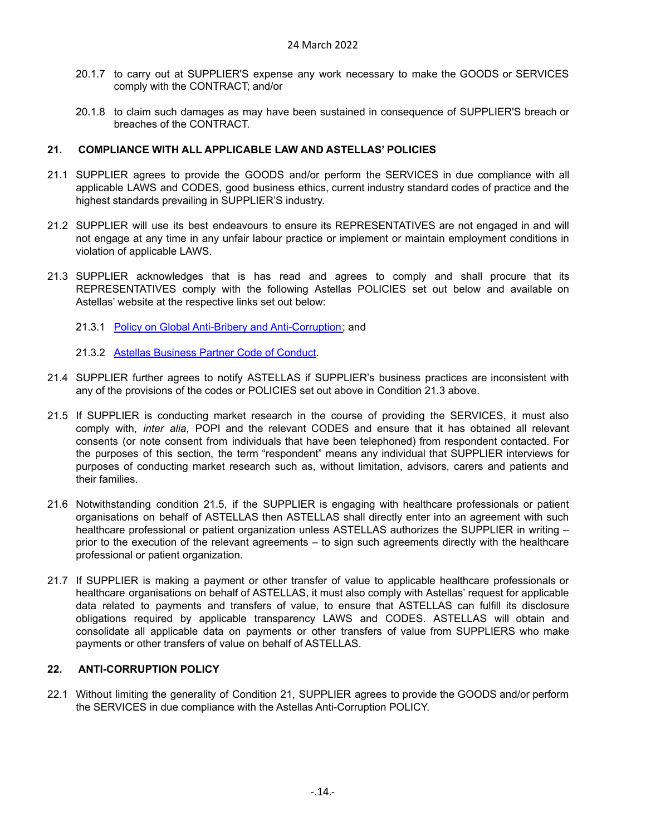- 20.1.7 to carry out at SUPPLIER'S expense any work necessary to make the GOODS or SERVICES comply with the CONTRACT; and/or
- 20.1.8 to claim such damages as may have been sustained in consequence of SUPPLIER'S breach or breaches of the CONTRACT.

#### <span id="page-13-0"></span>**21. COMPLIANCE WITH ALL APPLICABLE LAW AND ASTELLAS' POLICIES**

- 21.1 SUPPLIER agrees to provide the GOODS and/or perform the SERVICES in due compliance with all applicable LAWS and CODES, good business ethics, current industry standard codes of practice and the highest standards prevailing in SUPPLIER'S industry.
- 21.2 SUPPLIER will use its best endeavours to ensure its REPRESENTATIVES are not engaged in and will not engage at any time in any unfair labour practice or implement or maintain employment conditions in violation of applicable LAWS.
- 21.3 SUPPLIER acknowledges that is has read and agrees to comply and shall procure that its REPRESENTATIVES comply with the following Astellas POLICIES set out below and available on Astellas' website at the respective links set out below:
	- 21.3.1 Policy on Global Anti-Bribery and [Anti-Corruption;](https://www.astellas.com/en/about/policies-and-position-statements) and
	- 21.3.2 Astellas [Business](https://www.astellas.com/en/sustainability/astellas-business-partner-code-of-conduct) Partner Code of Conduct.
- 21.4 SUPPLIER further agrees to notify ASTELLAS if SUPPLIER's business practices are inconsistent with any of the provisions of the codes or POLICIES set out above in Condition 21.3 above.
- 21.5 If SUPPLIER is conducting market research in the course of providing the SERVICES, it must also comply with, *inter alia*, POPI and the relevant CODES and ensure that it has obtained all relevant consents (or note consent from individuals that have been telephoned) from respondent contacted. For the purposes of this section, the term "respondent" means any individual that SUPPLIER interviews for purposes of conducting market research such as, without limitation, advisors, carers and patients and their families.
- 21.6 Notwithstanding condition 21.5, if the SUPPLIER is engaging with healthcare professionals or patient organisations on behalf of ASTELLAS then ASTELLAS shall directly enter into an agreement with such healthcare professional or patient organization unless ASTELLAS authorizes the SUPPLIER in writing – prior to the execution of the relevant agreements – to sign such agreements directly with the healthcare professional or patient organization.
- 21.7 If SUPPLIER is making a payment or other transfer of value to applicable healthcare professionals or healthcare organisations on behalf of ASTELLAS, it must also comply with Astellas' request for applicable data related to payments and transfers of value, to ensure that ASTELLAS can fulfill its disclosure obligations required by applicable transparency LAWS and CODES. ASTELLAS will obtain and consolidate all applicable data on payments or other transfers of value from SUPPLIERS who make payments or other transfers of value on behalf of ASTELLAS.

# <span id="page-13-1"></span>**22. ANTI-CORRUPTION POLICY**

22.1 Without limiting the generality of Condition 21, SUPPLIER agrees to provide the GOODS and/or perform the SERVICES in due compliance with the Astellas Anti-Corruption POLICY.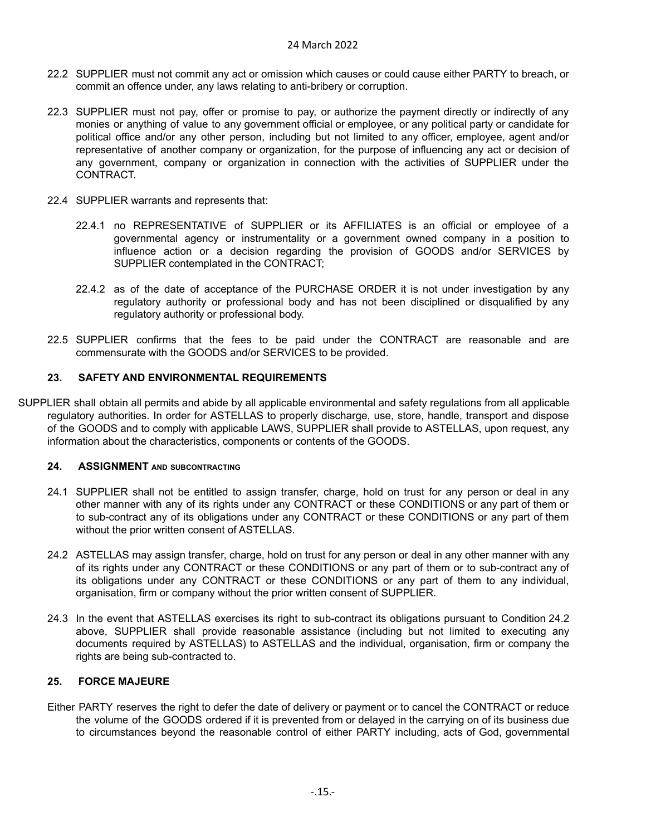- 22.2 SUPPLIER must not commit any act or omission which causes or could cause either PARTY to breach, or commit an offence under, any laws relating to anti-bribery or corruption.
- 22.3 SUPPLIER must not pay, offer or promise to pay, or authorize the payment directly or indirectly of any monies or anything of value to any government official or employee, or any political party or candidate for political office and/or any other person, including but not limited to any officer, employee, agent and/or representative of another company or organization, for the purpose of influencing any act or decision of any government, company or organization in connection with the activities of SUPPLIER under the CONTRACT.
- 22.4 SUPPLIER warrants and represents that:
	- 22.4.1 no REPRESENTATIVE of SUPPLIER or its AFFILIATES is an official or employee of a governmental agency or instrumentality or a government owned company in a position to influence action or a decision regarding the provision of GOODS and/or SERVICES by SUPPLIER contemplated in the CONTRACT;
	- 22.4.2 as of the date of acceptance of the PURCHASE ORDER it is not under investigation by any regulatory authority or professional body and has not been disciplined or disqualified by any regulatory authority or professional body.
- 22.5 SUPPLIER confirms that the fees to be paid under the CONTRACT are reasonable and are commensurate with the GOODS and/or SERVICES to be provided.

# <span id="page-14-0"></span>**23. SAFETY AND ENVIRONMENTAL REQUIREMENTS**

SUPPLIER shall obtain all permits and abide by all applicable environmental and safety regulations from all applicable regulatory authorities. In order for ASTELLAS to properly discharge, use, store, handle, transport and dispose of the GOODS and to comply with applicable LAWS, SUPPLIER shall provide to ASTELLAS, upon request, any information about the characteristics, components or contents of the GOODS.

# <span id="page-14-1"></span>**24. ASSIGNMENT AND SUBCONTRACTING**

- 24.1 SUPPLIER shall not be entitled to assign transfer, charge, hold on trust for any person or deal in any other manner with any of its rights under any CONTRACT or these CONDITIONS or any part of them or to sub-contract any of its obligations under any CONTRACT or these CONDITIONS or any part of them without the prior written consent of ASTELLAS.
- 24.2 ASTELLAS may assign transfer, charge, hold on trust for any person or deal in any other manner with any of its rights under any CONTRACT or these CONDITIONS or any part of them or to sub-contract any of its obligations under any CONTRACT or these CONDITIONS or any part of them to any individual, organisation, firm or company without the prior written consent of SUPPLIER.
- 24.3 In the event that ASTELLAS exercises its right to sub-contract its obligations pursuant to Condition 24.2 above, SUPPLIER shall provide reasonable assistance (including but not limited to executing any documents required by ASTELLAS) to ASTELLAS and the individual, organisation, firm or company the rights are being sub-contracted to.

# <span id="page-14-2"></span>**25. FORCE MAJEURE**

Either PARTY reserves the right to defer the date of delivery or payment or to cancel the CONTRACT or reduce the volume of the GOODS ordered if it is prevented from or delayed in the carrying on of its business due to circumstances beyond the reasonable control of either PARTY including, acts of God, governmental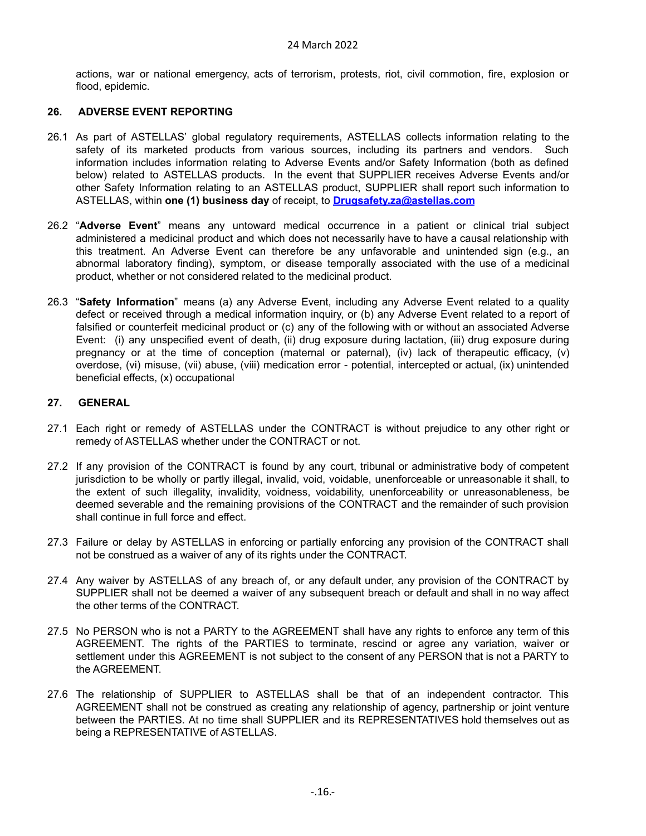actions, war or national emergency, acts of terrorism, protests, riot, civil commotion, fire, explosion or flood, epidemic.

### <span id="page-15-0"></span>**26. ADVERSE EVENT REPORTING**

- 26.1 As part of ASTELLAS' global regulatory requirements, ASTELLAS collects information relating to the safety of its marketed products from various sources, including its partners and vendors. Such information includes information relating to Adverse Events and/or Safety Information (both as defined below) related to ASTELLAS products. In the event that SUPPLIER receives Adverse Events and/or other Safety Information relating to an ASTELLAS product, SUPPLIER shall report such information to ASTELLAS, within **one (1) business day** of receipt, to **[Drugsafety.za@astellas.com](mailto:Drugsafety.za@astellas.com)**
- 26.2 "**Adverse Event**" means any untoward medical occurrence in a patient or clinical trial subject administered a medicinal product and which does not necessarily have to have a causal relationship with this treatment. An Adverse Event can therefore be any unfavorable and unintended sign (e.g., an abnormal laboratory finding), symptom, or disease temporally associated with the use of a medicinal product, whether or not considered related to the medicinal product.
- 26.3 "**Safety Information**" means (a) any Adverse Event, including any Adverse Event related to a quality defect or received through a medical information inquiry, or (b) any Adverse Event related to a report of falsified or counterfeit medicinal product or (c) any of the following with or without an associated Adverse Event: (i) any unspecified event of death, (ii) drug exposure during lactation, (iii) drug exposure during pregnancy or at the time of conception (maternal or paternal), (iv) lack of therapeutic efficacy, (v) overdose, (vi) misuse, (vii) abuse, (viii) medication error - potential, intercepted or actual, (ix) unintended beneficial effects, (x) occupational

# <span id="page-15-1"></span>**27. GENERAL**

- 27.1 Each right or remedy of ASTELLAS under the CONTRACT is without prejudice to any other right or remedy of ASTELLAS whether under the CONTRACT or not.
- 27.2 If any provision of the CONTRACT is found by any court, tribunal or administrative body of competent jurisdiction to be wholly or partly illegal, invalid, void, voidable, unenforceable or unreasonable it shall, to the extent of such illegality, invalidity, voidness, voidability, unenforceability or unreasonableness, be deemed severable and the remaining provisions of the CONTRACT and the remainder of such provision shall continue in full force and effect.
- 27.3 Failure or delay by ASTELLAS in enforcing or partially enforcing any provision of the CONTRACT shall not be construed as a waiver of any of its rights under the CONTRACT.
- 27.4 Any waiver by ASTELLAS of any breach of, or any default under, any provision of the CONTRACT by SUPPLIER shall not be deemed a waiver of any subsequent breach or default and shall in no way affect the other terms of the CONTRACT.
- 27.5 No PERSON who is not a PARTY to the AGREEMENT shall have any rights to enforce any term of this AGREEMENT. The rights of the PARTIES to terminate, rescind or agree any variation, waiver or settlement under this AGREEMENT is not subject to the consent of any PERSON that is not a PARTY to the AGREEMENT.
- 27.6 The relationship of SUPPLIER to ASTELLAS shall be that of an independent contractor. This AGREEMENT shall not be construed as creating any relationship of agency, partnership or joint venture between the PARTIES. At no time shall SUPPLIER and its REPRESENTATIVES hold themselves out as being a REPRESENTATIVE of ASTELLAS.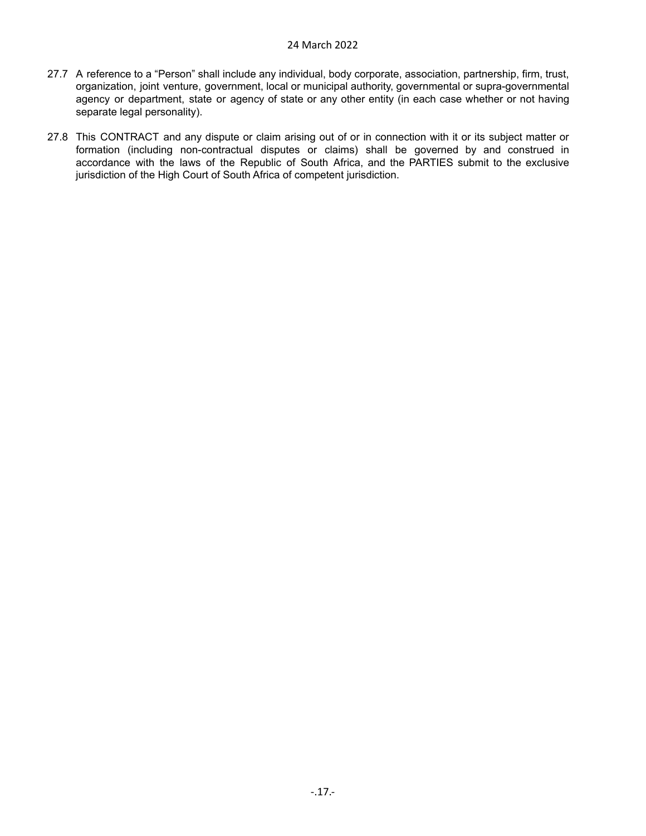- 27.7 A reference to a "Person" shall include any individual, body corporate, association, partnership, firm, trust, organization, joint venture, government, local or municipal authority, governmental or supra-governmental agency or department, state or agency of state or any other entity (in each case whether or not having separate legal personality).
- 27.8 This CONTRACT and any dispute or claim arising out of or in connection with it or its subject matter or formation (including non-contractual disputes or claims) shall be governed by and construed in accordance with the laws of the Republic of South Africa, and the PARTIES submit to the exclusive jurisdiction of the High Court of South Africa of competent jurisdiction.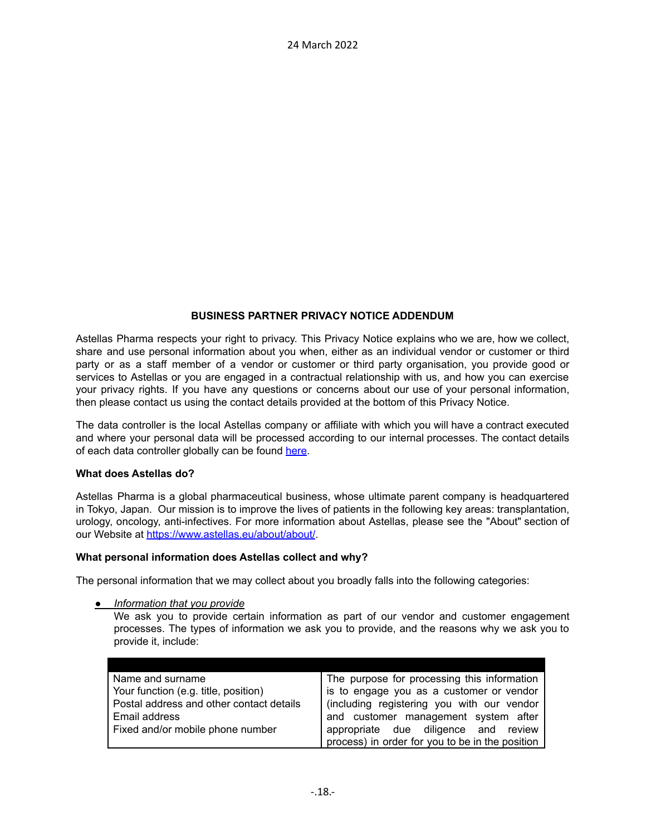# **BUSINESS PARTNER PRIVACY NOTICE ADDENDUM**

Astellas Pharma respects your right to privacy. This Privacy Notice explains who we are, how we collect, share and use personal information about you when, either as an individual vendor or customer or third party or as a staff member of a vendor or customer or third party organisation, you provide good or services to Astellas or you are engaged in a contractual relationship with us, and how you can exercise your privacy rights. If you have any questions or concerns about our use of your personal information, then please contact us using the contact details provided at the bottom of this Privacy Notice.

The data controller is the local Astellas company or affiliate with which you will have a contract executed and where your personal data will be processed according to our internal processes. The contact details of each data controller globally can be found [here.](https://www.astellas.com/en/worldwide)

# **What does Astellas do?**

Astellas Pharma is a global pharmaceutical business, whose ultimate parent company is headquartered in Tokyo, Japan. Our mission is to improve the lives of patients in the following key areas: transplantation, urology, oncology, anti-infectives. For more information about Astellas, please see the "About" section of our Website at <https://www.astellas.eu/about/about/>.

#### **What personal information does Astellas collect and why?**

The personal information that we may collect about you broadly falls into the following categories:

*● Information that you provide*

We ask you to provide certain information as part of our vendor and customer engagement processes. The types of information we ask you to provide, and the reasons why we ask you to provide it, include:

| Name and surname                         | The purpose for processing this information     |
|------------------------------------------|-------------------------------------------------|
| Your function (e.g. title, position)     | is to engage you as a customer or vendor        |
| Postal address and other contact details | (including registering you with our vendor      |
| Email address                            | and customer management system after            |
| Fixed and/or mobile phone number         | appropriate due diligence and review            |
|                                          | process) in order for you to be in the position |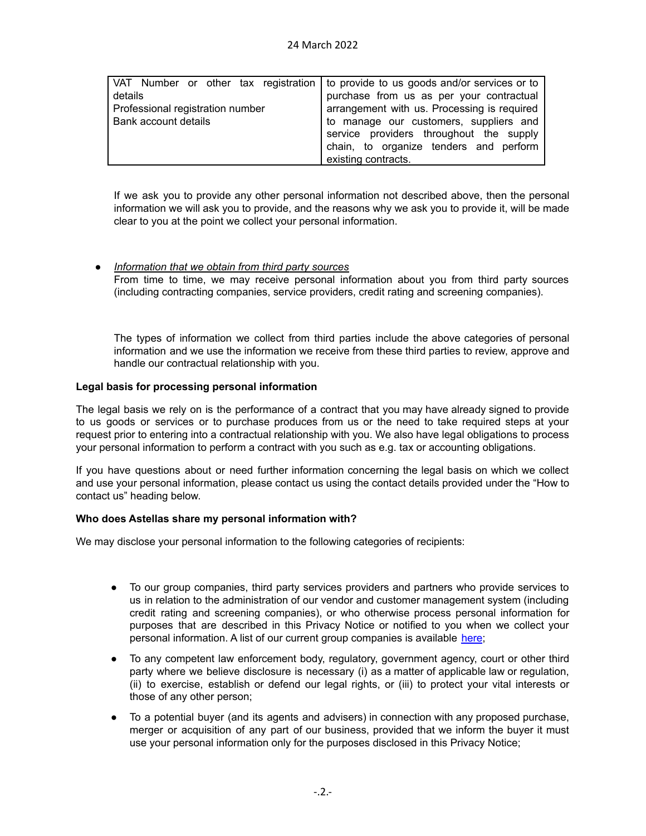|                                  | VAT Number or other tax registration to provide to us goods and/or services or to |
|----------------------------------|-----------------------------------------------------------------------------------|
| details                          | purchase from us as per your contractual                                          |
| Professional registration number | arrangement with us. Processing is required                                       |
| Bank account details             | to manage our customers, suppliers and                                            |
|                                  | service providers throughout the supply                                           |
|                                  | chain, to organize tenders and perform                                            |
|                                  | existing contracts.                                                               |

If we ask you to provide any other personal information not described above, then the personal information we will ask you to provide, and the reasons why we ask you to provide it, will be made clear to you at the point we collect your personal information.

# ● *Information that we obtain from third party sources*

From time to time, we may receive personal information about you from third party sources (including contracting companies, service providers, credit rating and screening companies).

The types of information we collect from third parties include the above categories of personal information and we use the information we receive from these third parties to review, approve and handle our contractual relationship with you.

#### **Legal basis for processing personal information**

The legal basis we rely on is the performance of a contract that you may have already signed to provide to us goods or services or to purchase produces from us or the need to take required steps at your request prior to entering into a contractual relationship with you. We also have legal obligations to process your personal information to perform a contract with you such as e.g. tax or accounting obligations.

If you have questions about or need further information concerning the legal basis on which we collect and use your personal information, please contact us using the contact details provided under the "How to contact us" heading below.

#### **Who does Astellas share my personal information with?**

We may disclose your personal information to the following categories of recipients:

- To our group companies, third party services providers and partners who provide services to us in relation to the administration of our vendor and customer management system (including credit rating and screening companies), or who otherwise process personal information for purposes that are described in this Privacy Notice or notified to you when we collect your personal information. A list of our current group companies is available [here](https://www.astellas.eu/contact/locations/);
- To any competent law enforcement body, regulatory, government agency, court or other third party where we believe disclosure is necessary (i) as a matter of applicable law or regulation, (ii) to exercise, establish or defend our legal rights, or (iii) to protect your vital interests or those of any other person;
- To a potential buyer (and its agents and advisers) in connection with any proposed purchase, merger or acquisition of any part of our business, provided that we inform the buyer it must use your personal information only for the purposes disclosed in this Privacy Notice;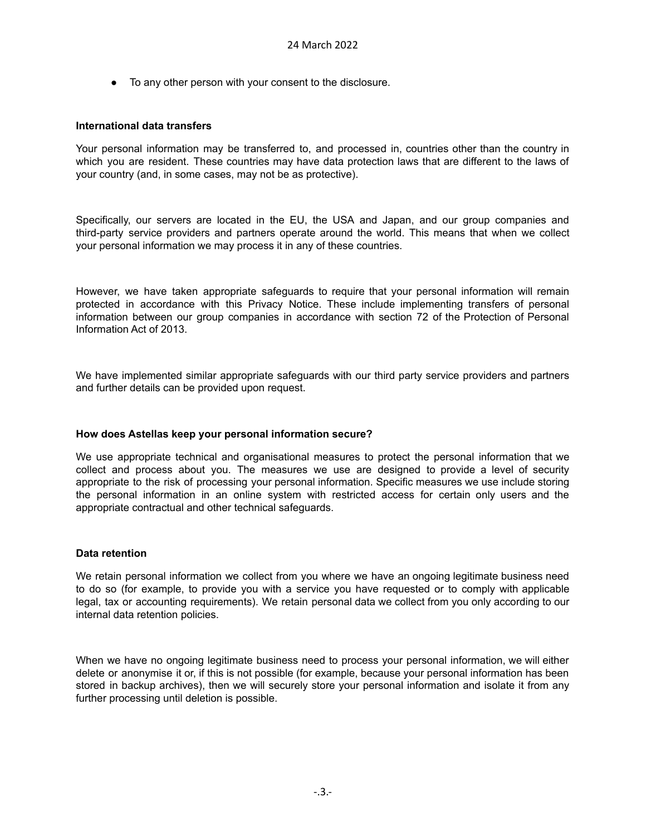● To any other person with your consent to the disclosure.

#### **International data transfers**

Your personal information may be transferred to, and processed in, countries other than the country in which you are resident. These countries may have data protection laws that are different to the laws of your country (and, in some cases, may not be as protective).

Specifically, our servers are located in the EU, the USA and Japan, and our group companies and third-party service providers and partners operate around the world. This means that when we collect your personal information we may process it in any of these countries.

However, we have taken appropriate safeguards to require that your personal information will remain protected in accordance with this Privacy Notice. These include implementing transfers of personal information between our group companies in accordance with section 72 of the Protection of Personal Information Act of 2013.

We have implemented similar appropriate safeguards with our third party service providers and partners and further details can be provided upon request.

# **How does Astellas keep your personal information secure?**

We use appropriate technical and organisational measures to protect the personal information that we collect and process about you. The measures we use are designed to provide a level of security appropriate to the risk of processing your personal information. Specific measures we use include storing the personal information in an online system with restricted access for certain only users and the appropriate contractual and other technical safeguards.

#### **Data retention**

We retain personal information we collect from you where we have an ongoing legitimate business need to do so (for example, to provide you with a service you have requested or to comply with applicable legal, tax or accounting requirements). We retain personal data we collect from you only according to our internal data retention policies.

When we have no ongoing legitimate business need to process your personal information, we will either delete or anonymise it or, if this is not possible (for example, because your personal information has been stored in backup archives), then we will securely store your personal information and isolate it from any further processing until deletion is possible.